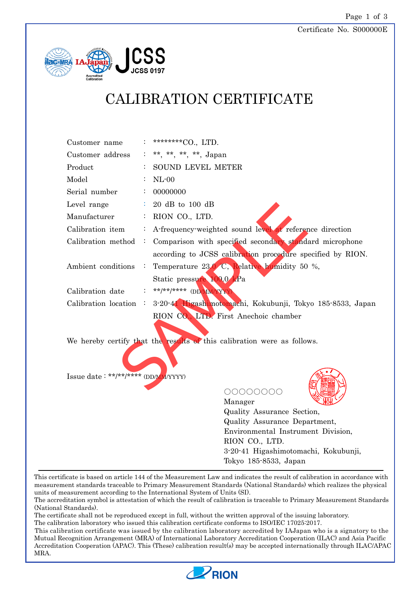Certificate No. S000000E



## CALIBRATION CERTIFICATE

| Customer name                        | ********CO., LTD.                                                                                                     |
|--------------------------------------|-----------------------------------------------------------------------------------------------------------------------|
| Customer address                     | **, **, **, **, Japan                                                                                                 |
| Product                              | <b>SOUND LEVEL METER</b>                                                                                              |
| Model                                | $NL-00$                                                                                                               |
| Serial number                        | 00000000                                                                                                              |
| Level range                          | 20 dB to 100 dB                                                                                                       |
| Manufacturer                         | RION CO., LTD.                                                                                                        |
| Calibration item                     | A-frequency-weighted sound level at reference direction                                                               |
| Calibration method<br>$\ddot{\cdot}$ | Comparison with specified secondary standard microphone<br>according to JCSS calibration procedure specified by RION. |
| Ambient conditions                   | Temperature 23.0 C, Relative humidity 50 %,<br>Static pressure 100.0 kPa                                              |
| Calibration date                     | **/**/***** (DD/MM/YYYY)                                                                                              |
| Calibration location:                | 3-20-41 Higashim otomachi, Kokubunji, Tokyo 185-8533, Japan                                                           |
|                                      | RION CO, LTD. First Anechoic chamber                                                                                  |
|                                      |                                                                                                                       |
|                                      | We hereby certify that the results of this calibration were as follows.                                               |
| Issue date: **/**/***** (DD/MM/YYYY) |                                                                                                                       |
|                                      |                                                                                                                       |

○○○○○○○○ Manager Quality Assurance Section, Quality Assurance Department, Environmental Instrument Division, RION CO., LTD. 3-20-41 Higashimotomachi, Kokubunji, Tokyo 185-8533, Japan

This certificate is based on article 144 of the Measurement Law and indicates the result of calibration in accordance with measurement standards traceable to Primary Measurement Standards (National Standards) which realizes the physical units of measurement according to the International System of Units (SI).

The accreditation symbol is attestation of which the result of calibration is traceable to Primary Measurement Standards (National Standards).

The certificate shall not be reproduced except in full, without the written approval of the issuing laboratory. The calibration laboratory who issued this calibration certificate conforms to ISO/IEC 17025:2017.

This calibration certificate was issued by the calibration laboratory accredited by IAJapan who is a signatory to the Mutual Recognition Arrangement (MRA) of International Laboratory Accreditation Cooperation (ILAC) and Asia Pacific Accreditation Cooperation (APAC). This (These) calibration result(s) may be accepted internationally through ILAC/APAC MRA.

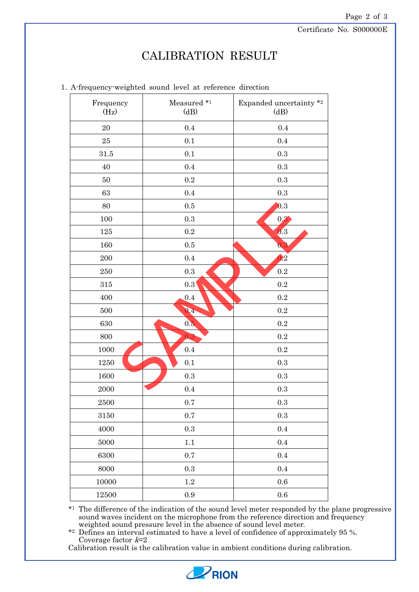Certificate No. S000000E

## CALIBRATION RESULT

|  | 1. A-frequency-weighted sound level at reference direction |  |  |  |  |  |  |
|--|------------------------------------------------------------|--|--|--|--|--|--|
|--|------------------------------------------------------------|--|--|--|--|--|--|

| Frequency<br>(Hz) | Measured *1<br>(dB) | Expanded uncertainty *2<br>(dB) |
|-------------------|---------------------|---------------------------------|
| $20\,$            | 0.4                 | 0.4                             |
| $25\,$            | 0.1                 | 0.4                             |
| $31.5\,$          | $0.1\,$             | $\rm 0.3$                       |
| 40                | $0.4\,$             | $\rm 0.3$                       |
| $50\,$            | $\rm 0.2$           | $\rm 0.3$                       |
| 63                | $0.4\,$             | $\rm 0.3$                       |
| 80                | $0.5\,$             | 0.3                             |
| 100               | $\rm 0.3$           | $\rm 0.3$                       |
| 125               | $\rm 0.2$           | 0.3                             |
| 160               | $0.5\,$             | 0.3                             |
| 200               | $0.4\,$             | $\mathbf{Q}$ .2                 |
| 250               | $\rm 0.3$           | $\rm 0.2$                       |
| 315               | $\rm 0.3$           | $\rm 0.2$                       |
| 400               | $0.4\,$             | $\rm 0.2$                       |
| 500               | 0.4                 | $\rm 0.2$                       |
| 630               | 0.5                 | $\rm 0.2$                       |
| 800               | 0.3                 | $\rm 0.2$                       |
| 1000              | 0.4                 | 0.2                             |
| 1250              | $0.1\,$             | $\rm 0.3$                       |
| 1600              | $\rm 0.3$           | $\rm 0.3$                       |
| 2000              | 0.4                 | $\rm 0.3$                       |
| 2500              | $0.7\,$             | $\rm 0.3$                       |
| $3150\,$          | $0.7\,$             | $\rm 0.3$                       |
| 4000              | $\rm 0.3$           | $\rm 0.4$                       |
| 5000              | $1.1\,$             | 0.4                             |
| 6300              | $0.7\,$             | $0.4\,$                         |
| 8000              | $\rm 0.3$           | 0.4                             |
| $10000\,$         | $1.2\,$             | $0.6\,$                         |
| 12500             | $\rm 0.9$           | $0.6\,$                         |

\*1 The difference of the indication of the sound level meter responded by the plane progressive sound waves incident on the microphone from the reference direction and frequency weighted sound pressure level in the absence of sound level meter.

\*2 Defines an interval estimated to have a level of confidence of approximately 95 %. Coverage factor  $k=2$ 

Calibration result is the calibration value in ambient conditions during calibration.